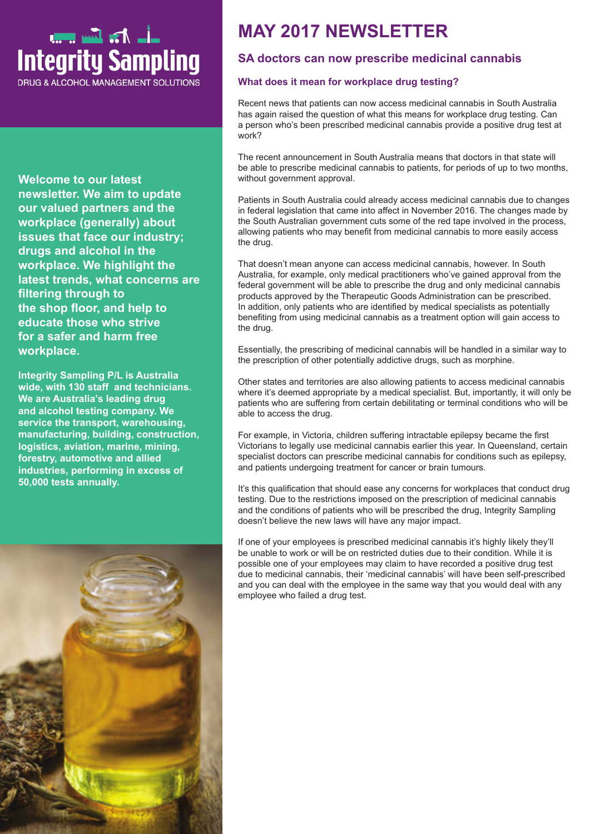# ـــاْـــ ا<del>ن</del>ــ ان السریبیں<br>Integrity Sampling

**DRUG & ALCOHOL MANAGEMENT SOLUTIONS** 

**Welcome to our latest newsletter. We aim to update our valued partners and the workplace (generally) about issues that face our industry; drugs and alcohol in the workplace. We highlight the latest trends, what concerns are filtering through to the shop floor, and help to educate those who strive for a safer and harm free workplace.**

**Integrity Sampling P/L is Australia wide, with 130 staff and technicians. We are Australia's leading drug and alcohol testing company. We service the transport, warehousing, manufacturing, building, construction, logistics, aviation, marine, mining, forestry, automotive and allied industries, performing in excess of 50,000 tests annually.**



## **MAY 2017 NEWSLETTER**

## **SA doctors can now prescribe medicinal cannabis**

#### **What does it mean for workplace drug testing?**

Recent news that patients can now access medicinal cannabis in South Australia has again raised the question of what this means for workplace drug testing. Can a person who's been prescribed medicinal cannabis provide a positive drug test at work?

The recent announcement in South Australia means that doctors in that state will be able to prescribe medicinal cannabis to patients, for periods of up to two months, without government approval.

Patients in South Australia could already access medicinal cannabis due to changes in federal legislation that came into affect in November 2016. The changes made by the South Australian government cuts some of the red tape involved in the process, allowing patients who may benefit from medicinal cannabis to more easily access the drug.

That doesn't mean anyone can access medicinal cannabis, however. In South Australia, for example, only medical practitioners who've gained approval from the federal government will be able to prescribe the drug and only medicinal cannabis products approved by the Therapeutic Goods Administration can be prescribed. In addition, only patients who are identified by medical specialists as potentially benefiting from using medicinal cannabis as a treatment option will gain access to the drug.

Essentially, the prescribing of medicinal cannabis will be handled in a similar way to the prescription of other potentially addictive drugs, such as morphine.

Other states and territories are also allowing patients to access medicinal cannabis where it's deemed appropriate by a medical specialist. But, importantly, it will only be patients who are suffering from certain debilitating or terminal conditions who will be able to access the drug.

For example, in Victoria, children suffering intractable epilepsy became the first Victorians to legally use medicinal cannabis earlier this year. In Queensland, certain specialist doctors can prescribe medicinal cannabis for conditions such as epilepsy, and patients undergoing treatment for cancer or brain tumours.

It's this qualification that should ease any concerns for workplaces that conduct drug testing. Due to the restrictions imposed on the prescription of medicinal cannabis and the conditions of patients who will be prescribed the drug, Integrity Sampling doesn't believe the new laws will have any major impact.

If one of your employees is prescribed medicinal cannabis it's highly likely they'll be unable to work or will be on restricted duties due to their condition. While it is possible one of your employees may claim to have recorded a positive drug test due to medicinal cannabis, their 'medicinal cannabis' will have been self-prescribed and you can deal with the employee in the same way that you would deal with any employee who failed a drug test.